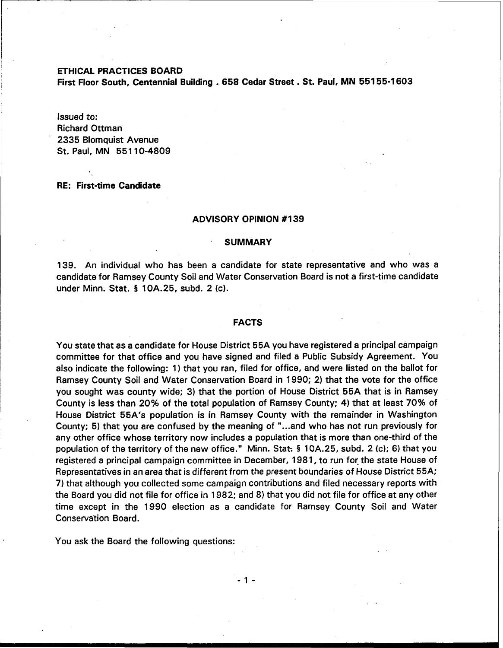ETHICAL PRACTICES BOARD

First Floor South, Centennial Building . 658 Cedar Street . St. Paul, MN 551 55-1 603

Issued to: Richard Ottman 2335 Blomquist Avenue St. Paul, MN 551 10-4809

# RE: First-time Candidate

# ADVISORY OPINION #I39

#### **SUMMARY**

139. An individual who has been a candidate for state representative and who was a candidate for Ramsey County Soil and Water Conservation Board is not a first-time candidate under Minn. Stat. § 10A.25, subd. 2 (c).

## FACTS

You state that as a candidate for House District 55A you have registered a principal campaign committee for that office and you have signed and filed a Public Subsidy Agreement. You also indicate the following: 1) that you ran, filed for office, and were listed on the ballot for Ramsey County Soil and Water Conservation Board in 1990; 2) that the vote for the office you sought was county wide; 3) that the portion of House District 55A that is in Ramsey County is less than 20% of the total population of Ramsey County; 4) that at least 70% of House District 55A's population is in Ramsey County with the remainder in Washington County; 5) that you are confused by the meaning of "...and who has not run previously for any other office whose territory now includes a population that is more than one-third of the population of the territory of the new office." Minn. Stat: **5** 10A.25, subd. 2 (c); **6)** that you registered a principal campaign committee in December, 1981, to run for the state House of Representatives in an area that is different from the present boundaries of House District 55A; 7) that although you collected some campaign contributions and filed necessary reports with the Board you did not file for office in 1982; and 8) that you did not file for office at any other time except in the 1990 election as a candidate for Ramsey County Soil and Water Conservation Board.

You ask the Board the following questions:

 $-1-$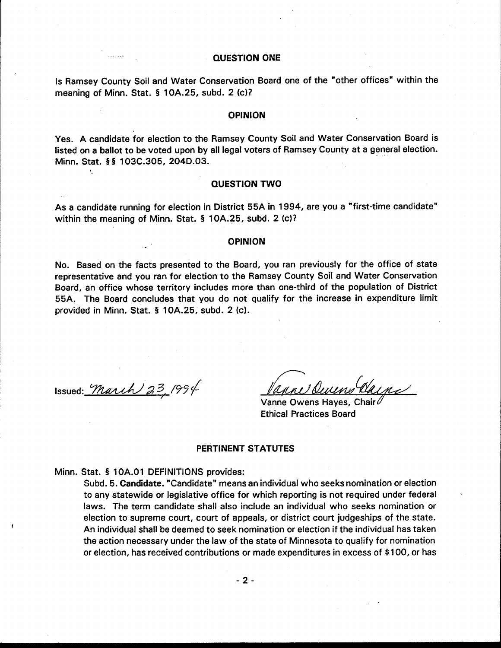## **QUESTION ONE**

Is Ramsey County Soil and Water Conservation Board one of the "other offices" within the meaning of Minn. Stat. § 10A.25, subd. 2 (c)?

#### **OPINION**

Yes. A candidate for election to the Ramsey County Soil and Water Conservation Board is listed on a ballot to be voted upon by all legal voters of Ramsey County at a general election. Minn. Stat. §§ 103C.305, 204D.03.

# **QUESTION TWO**

As a candidate running for election in District 55A in 1994, are you a "first-time candidate" within the meaning of Minn. Stat. § 10A.25, subd. 2 (c)?

#### **OPINION**

No. Based on the facts presented to the Board, you ran previously for the office of state representative and you ran for election to the Ramsey County Soil and Water Conservation Board, an office whose territory includes more than one-third of the population of District 55A. The Board concludes that you do not qualify for the increase in expenditure limit provided in Minn. Stat. § 10A.25, subd. 2 (c).

Issued: March  $23/994$ 

Vanne Owens Hayes, Chair **Ethical Practices Board** 

# **PERTINENT STATUTES**

Minn. Stat. § 10A.01 DEFINITIONS provides:

Subd. 5. Candidate. "Candidate" means an individual who seeks nomination or election to any statewide or legislative office for which reporting is not required under federal laws. The term candidate shall also include an individual who seeks nomination or election to supreme court, court of appeals, or district court judgeships of the state. An individual shall be deemed to seek nomination or election if the individual has taken the action necessary under the law of the state of Minnesota to qualify for nomination or election, has received contributions or made expenditures in excess of \$100, or has